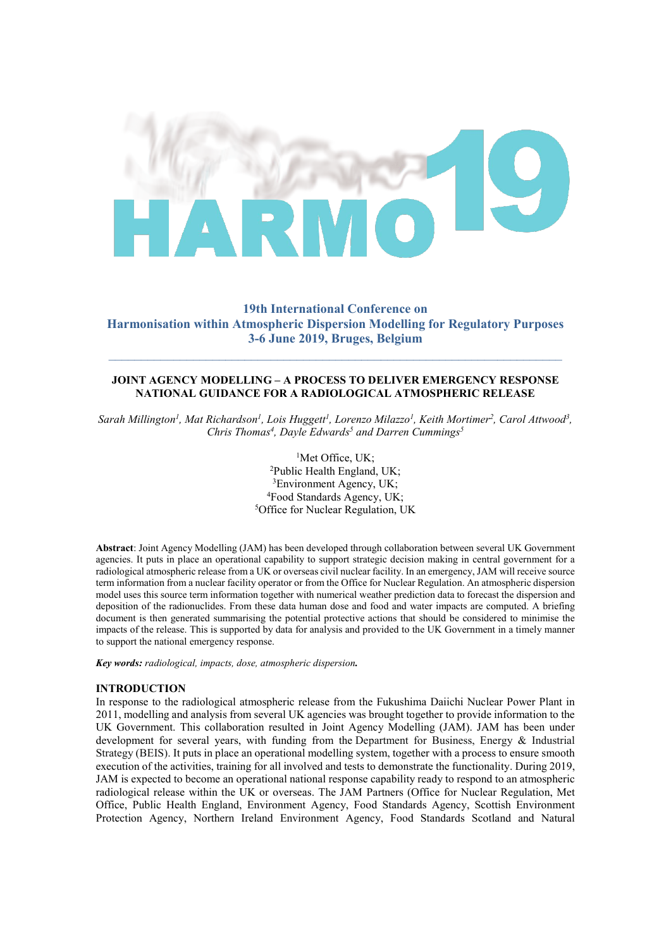

# **19th International Conference on Harmonisation within Atmospheric Dispersion Modelling for Regulatory Purposes 3-6 June 2019, Bruges, Belgium**

## **JOINT AGENCY MODELLING – A PROCESS TO DELIVER EMERGENCY RESPONSE NATIONAL GUIDANCE FOR A RADIOLOGICAL ATMOSPHERIC RELEASE**

*Sarah Millington1 , Mat Richardson1 , Lois Huggett1 , Lorenzo Milazzo1 , Keith Mortimer2 , Carol Attwood3 ,*  Chris Thomas<sup>4</sup>, Dayle Edwards<sup>5</sup> and Darren Cummings<sup>5</sup>

> <sup>1</sup>Met Office, UK;  ${}^{1}$ Met Office, UK;<br><sup>2</sup>Public Health England Public Health England, UK;<br><sup>3</sup>Environment Agency, UK;  ${}^{3}$ Environment Agency, UK; Food Standards Agency, UK; 5 <sup>5</sup>Office for Nuclear Regulation, UK

**Abstract**: Joint Agency Modelling (JAM) has been developed through collaboration between several UK Government agencies. It puts in place an operational capability to support strategic decision making in central government for a radiological atmospheric release from a UK or overseas civil nuclear facility. In an emergency, JAM will receive source term information from a nuclear facility operator or from the Office for Nuclear Regulation. An atmospheric dispersion model uses this source term information together with numerical weather prediction data to forecast the dispersion and deposition of the radionuclides. From these data human dose and food and water impacts are computed. A briefing document is then generated summarising the potential protective actions that should be considered to minimise the impacts of the release. This is supported by data for analysis and provided to the UK Government in a timely manner to support the national emergency response.

*Key words: radiological, impacts, dose, atmospheric dispersion.* 

#### **INTRODUCTION**

In response to the radiological atmospheric release from the Fukushima Daiichi Nuclear Power Plant in 2011, modelling and analysis from several UK agencies was brought together to provide information to the UK Government. This collaboration resulted in Joint Agency Modelling (JAM). JAM has been under development for several years, with funding from the Department for Business, Energy & Industrial Strategy (BEIS). It puts in place an operational modelling system, together with a process to ensure smooth execution of the activities, training for all involved and tests to demonstrate the functionality. During 2019, JAM is expected to become an operational national response capability ready to respond to an atmospheric radiological release within the UK or overseas. The JAM Partners (Office for Nuclear Regulation, Met Office, Public Health England, Environment Agency, Food Standards Agency, Scottish Environment Protection Agency, Northern Ireland Environment Agency, Food Standards Scotland and Natural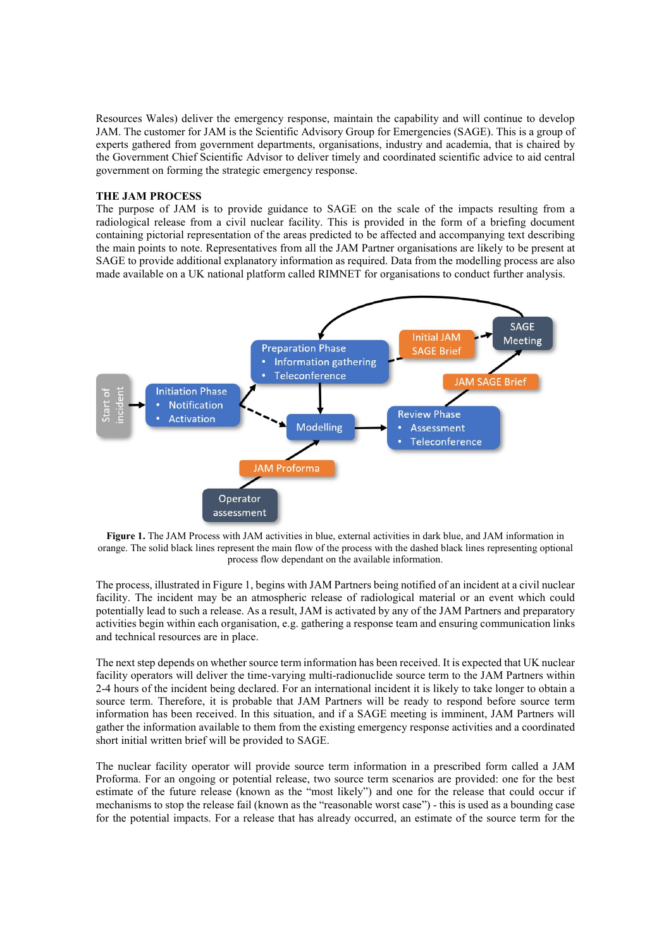Resources Wales) deliver the emergency response, maintain the capability and will continue to develop JAM. The customer for JAM is the Scientific Advisory Group for Emergencies (SAGE). This is a group of experts gathered from government departments, organisations, industry and academia, that is chaired by the Government Chief Scientific Advisor to deliver timely and coordinated scientific advice to aid central government on forming the strategic emergency response.

#### **THE JAM PROCESS**

The purpose of JAM is to provide guidance to SAGE on the scale of the impacts resulting from a radiological release from a civil nuclear facility. This is provided in the form of a briefing document containing pictorial representation of the areas predicted to be affected and accompanying text describing the main points to note. Representatives from all the JAM Partner organisations are likely to be present at SAGE to provide additional explanatory information as required. Data from the modelling process are also made available on a UK national platform called RIMNET for organisations to conduct further analysis.



**Figure 1.** The JAM Process with JAM activities in blue, external activities in dark blue, and JAM information in orange. The solid black lines represent the main flow of the process with the dashed black lines representing optional process flow dependant on the available information.

The process, illustrated in Figure 1, begins with JAM Partners being notified of an incident at a civil nuclear facility. The incident may be an atmospheric release of radiological material or an event which could potentially lead to such a release. As a result, JAM is activated by any of the JAM Partners and preparatory activities begin within each organisation, e.g. gathering a response team and ensuring communication links and technical resources are in place.

The next step depends on whether source term information has been received. It is expected that UK nuclear facility operators will deliver the time-varying multi-radionuclide source term to the JAM Partners within 2-4 hours of the incident being declared. For an international incident it is likely to take longer to obtain a source term. Therefore, it is probable that JAM Partners will be ready to respond before source term information has been received. In this situation, and if a SAGE meeting is imminent, JAM Partners will gather the information available to them from the existing emergency response activities and a coordinated short initial written brief will be provided to SAGE.

The nuclear facility operator will provide source term information in a prescribed form called a JAM Proforma. For an ongoing or potential release, two source term scenarios are provided: one for the best estimate of the future release (known as the "most likely") and one for the release that could occur if mechanisms to stop the release fail (known as the "reasonable worst case") - this is used as a bounding case for the potential impacts. For a release that has already occurred, an estimate of the source term for the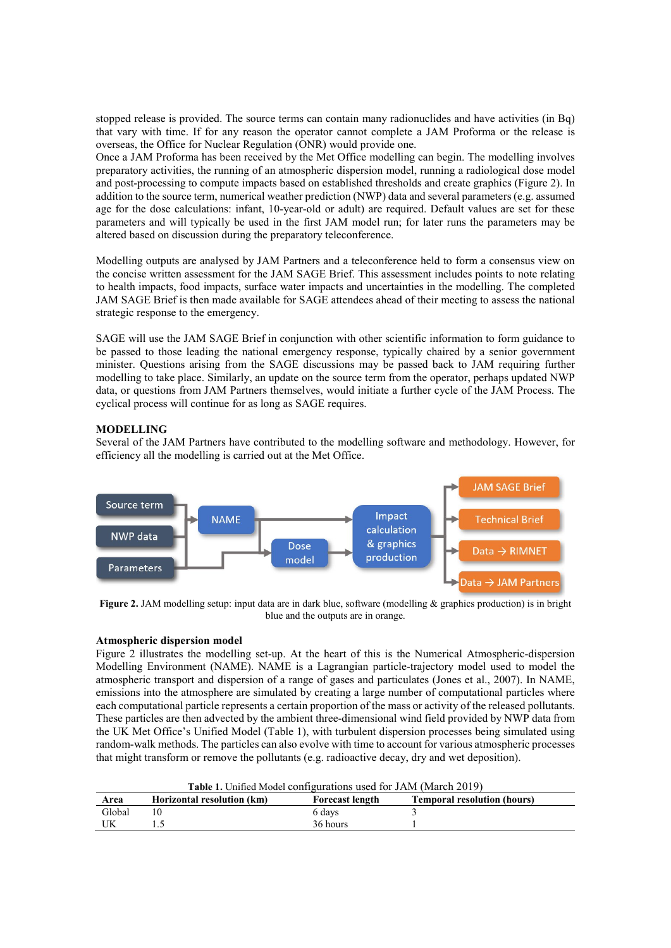stopped release is provided. The source terms can contain many radionuclides and have activities (in Bq) that vary with time. If for any reason the operator cannot complete a JAM Proforma or the release is overseas, the Office for Nuclear Regulation (ONR) would provide one.

Once a JAM Proforma has been received by the Met Office modelling can begin. The modelling involves preparatory activities, the running of an atmospheric dispersion model, running a radiological dose model and post-processing to compute impacts based on established thresholds and create graphics (Figure 2). In addition to the source term, numerical weather prediction (NWP) data and several parameters (e.g. assumed age for the dose calculations: infant, 10-year-old or adult) are required. Default values are set for these parameters and will typically be used in the first JAM model run; for later runs the parameters may be altered based on discussion during the preparatory teleconference.

Modelling outputs are analysed by JAM Partners and a teleconference held to form a consensus view on the concise written assessment for the JAM SAGE Brief. This assessment includes points to note relating to health impacts, food impacts, surface water impacts and uncertainties in the modelling. The completed JAM SAGE Brief is then made available for SAGE attendees ahead of their meeting to assess the national strategic response to the emergency.

SAGE will use the JAM SAGE Brief in conjunction with other scientific information to form guidance to be passed to those leading the national emergency response, typically chaired by a senior government minister. Questions arising from the SAGE discussions may be passed back to JAM requiring further modelling to take place. Similarly, an update on the source term from the operator, perhaps updated NWP data, or questions from JAM Partners themselves, would initiate a further cycle of the JAM Process. The cyclical process will continue for as long as SAGE requires.

## **MODELLING**

Several of the JAM Partners have contributed to the modelling software and methodology. However, for efficiency all the modelling is carried out at the Met Office.



**Figure 2.** JAM modelling setup: input data are in dark blue, software (modelling & graphics production) is in bright blue and the outputs are in orange.

### **Atmospheric dispersion model**

Figure 2 illustrates the modelling set-up. At the heart of this is the Numerical Atmospheric-dispersion Modelling Environment (NAME). NAME is a Lagrangian particle-trajectory model used to model the atmospheric transport and dispersion of a range of gases and particulates (Jones et al., 2007). In NAME, emissions into the atmosphere are simulated by creating a large number of computational particles where each computational particle represents a certain proportion of the mass or activity of the released pollutants. These particles are then advected by the ambient three-dimensional wind field provided by NWP data from the UK Met Office's Unified Model (Table 1), with turbulent dispersion processes being simulated using random-walk methods. The particles can also evolve with time to account for various atmospheric processes that might transform or remove the pollutants (e.g. radioactive decay, dry and wet deposition).

| Table 1. Unified Model configurations used for JAM (March 2019) |                            |                        |                                    |  |  |  |
|-----------------------------------------------------------------|----------------------------|------------------------|------------------------------------|--|--|--|
| Area                                                            | Horizontal resolution (km) | <b>Forecast length</b> | <b>Temporal resolution (hours)</b> |  |  |  |
| Global                                                          |                            | 6 days                 |                                    |  |  |  |
|                                                                 |                            | 36 hours               |                                    |  |  |  |

**Table 1.** Unified Model configurations used for JAM (March 2019)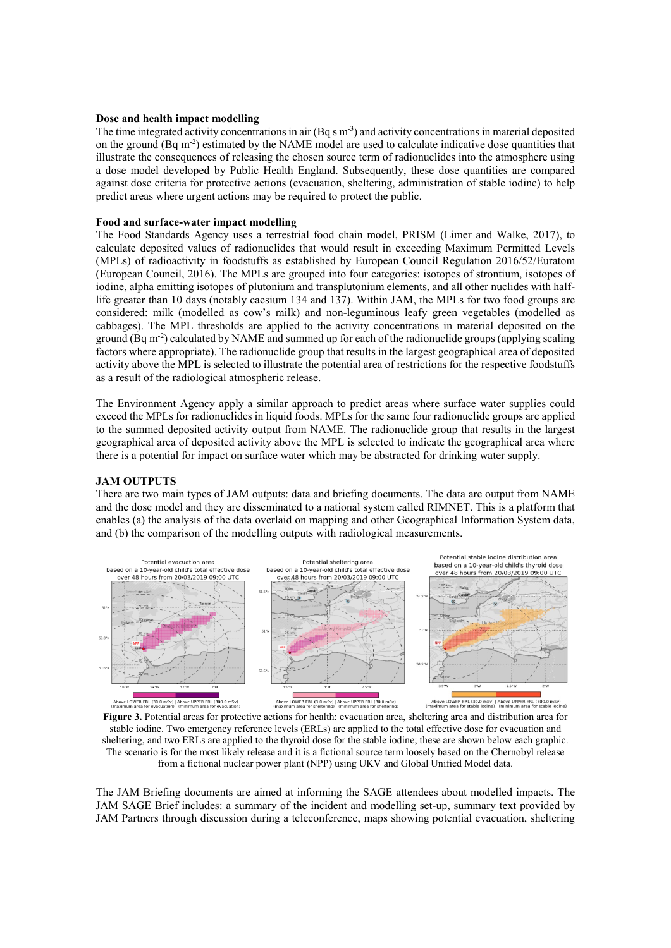### **Dose and health impact modelling**

The time integrated activity concentrations in air  $(Bq \sin^3)$  and activity concentrations in material deposited on the ground (Bq m<sup>-2</sup>) estimated by the NAME model are used to calculate indicative dose quantities that illustrate the consequences of releasing the chosen source term of radionuclides into the atmosphere using a dose model developed by Public Health England. Subsequently, these dose quantities are compared against dose criteria for protective actions (evacuation, sheltering, administration of stable iodine) to help predict areas where urgent actions may be required to protect the public.

#### **Food and surface-water impact modelling**

The Food Standards Agency uses a terrestrial food chain model, PRISM (Limer and Walke, 2017), to calculate deposited values of radionuclides that would result in exceeding Maximum Permitted Levels (MPLs) of radioactivity in foodstuffs as established by European Council Regulation 2016/52/Euratom (European Council, 2016). The MPLs are grouped into four categories: isotopes of strontium, isotopes of iodine, alpha emitting isotopes of plutonium and transplutonium elements, and all other nuclides with halflife greater than 10 days (notably caesium 134 and 137). Within JAM, the MPLs for two food groups are considered: milk (modelled as cow's milk) and non-leguminous leafy green vegetables (modelled as cabbages). The MPL thresholds are applied to the activity concentrations in material deposited on the ground (Bq m<sup>-2</sup>) calculated by NAME and summed up for each of the radionuclide groups (applying scaling factors where appropriate). The radionuclide group that results in the largest geographical area of deposited activity above the MPL is selected to illustrate the potential area of restrictions for the respective foodstuffs as a result of the radiological atmospheric release.

The Environment Agency apply a similar approach to predict areas where surface water supplies could exceed the MPLs for radionuclides in liquid foods. MPLs for the same four radionuclide groups are applied to the summed deposited activity output from NAME. The radionuclide group that results in the largest geographical area of deposited activity above the MPL is selected to indicate the geographical area where there is a potential for impact on surface water which may be abstracted for drinking water supply.

#### **JAM OUTPUTS**

There are two main types of JAM outputs: data and briefing documents. The data are output from NAME and the dose model and they are disseminated to a national system called RIMNET. This is a platform that enables (a) the analysis of the data overlaid on mapping and other Geographical Information System data, and (b) the comparison of the modelling outputs with radiological measurements.



**Figure 3.** Potential areas for protective actions for health: evacuation area, sheltering area and distribution area for stable iodine. Two emergency reference levels (ERLs) are applied to the total effective dose for evacuation and sheltering, and two ERLs are applied to the thyroid dose for the stable iodine; these are shown below each graphic. The scenario is for the most likely release and it is a fictional source term loosely based on the Chernobyl release from a fictional nuclear power plant (NPP) using UKV and Global Unified Model data.

The JAM Briefing documents are aimed at informing the SAGE attendees about modelled impacts. The JAM SAGE Brief includes: a summary of the incident and modelling set-up, summary text provided by JAM Partners through discussion during a teleconference, maps showing potential evacuation, sheltering